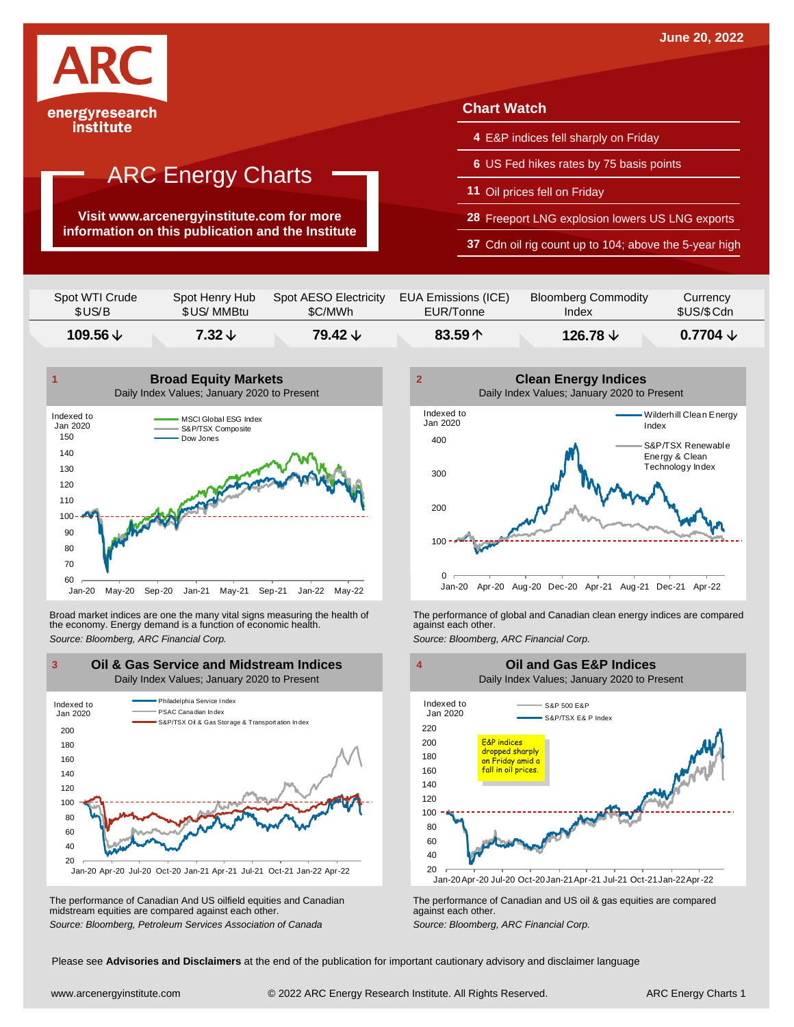

**Visit www.arcenergyinstitute.com for more information on this publication and the Institute**

#### **Chart Watch**

- **4** E&P indices fell sharply on Friday
- **6** US Fed hikes rates by 75 basis points
- **11** Oil prices fell on Friday
- **28** Freeport LNG explosion lowers US LNG exports
- **37** Cdn oil rig count up to 104; above the 5-year high

| \$US/B         | \$US/ MMBtu    | \$C/MWh               | EUR/Tonne           | Index                      | \$US/\$Cdn |
|----------------|----------------|-----------------------|---------------------|----------------------------|------------|
| Spot WTI Crude | Spot Henry Hub | Spot AESO Electricity | EUA Emissions (ICE) | <b>Bloomberg Commodity</b> | Currency   |



Broad market indices are one the many vital signs measuring the health of the economy. Energy demand is a function of economic health. Broad market indices are one the many vital signs measuring the health of The performance of global and Canadian clean energy indices are compared<br>the economy. Energy demand is a function of economic health.<br>Source: Bloomb



The performance of Canadian And US oilfield equities and Canadian midstream equities are compared against each other. The performance of Canadian And US oilfield equities and Canadian **Frank Constant Prank Constant Prank Constant**<br>The performance of Canadian and US oil & gas equities are compared<br>Source: Bloomberg, Petroleum Services Asso





Please see **Advisories and Disclaimers** at the end of the publication for important cautionary advisory and disclaimer language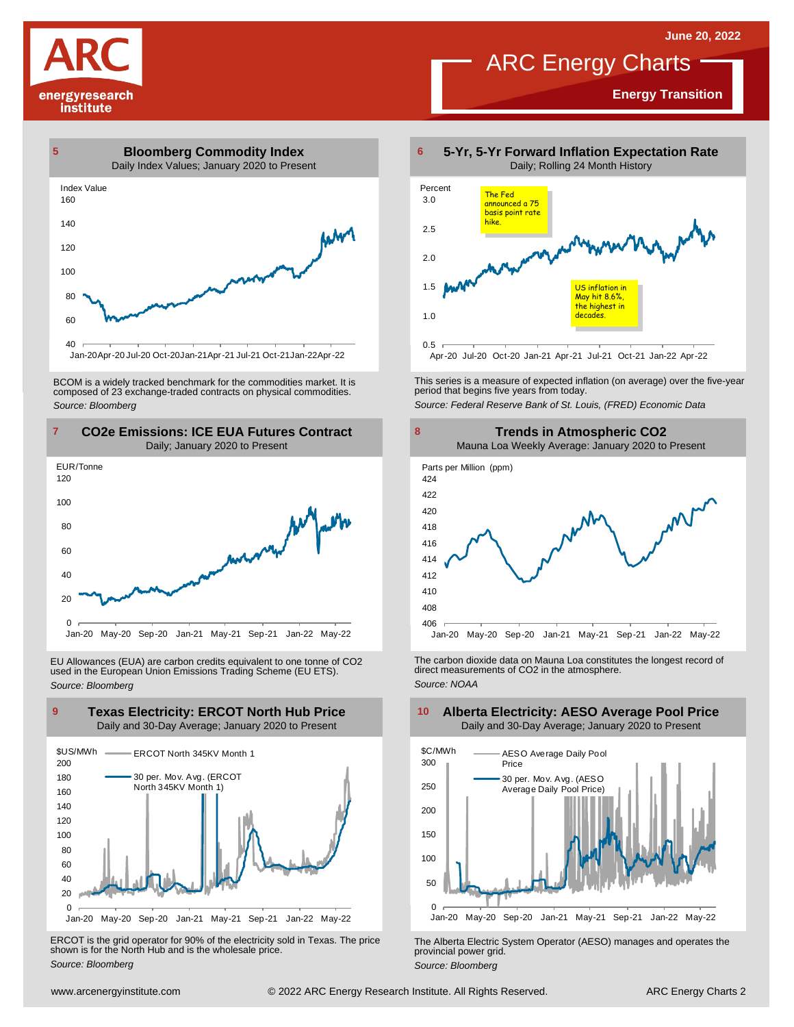**Energy Transition**





Jan-20Apr-20 Jul-20 Oct-20Jan-21Apr-21 Jul-21 Oct-21Jan-22Apr-22

BCOM is <sup>a</sup> widely tracked benchmark for the commodities market. It is composed of <sup>23</sup> exchange-traded contracts on physical commodities. *Source: Bloomberg*



EU Allowances (EUA) are carbon credits equivalent to one tonne of CO2 used in the European Union Emissions Trading Scheme (EU ETS). *Source: Bloomberg*



ERCOT is the grid operator for 90% of the electricity sold in Texas. The price shown is for the North Hub and is the wholesale price. *Source: Bloomberg*



This series is <sup>a</sup> measure of expected inflation (on average) over the five-year period that begins five years from today.

*Source: Federal Reserve Bank of St. Louis, (FRED) Economic Data*



The carbon dioxide data on Mauna Loa constitutes the longest record of direct measurements of CO2 in the atmosphere. *Source: NOAA*



The Alberta Electric System Operator (AESO) manages and operates the provincial power grid. *Source: Bloomberg*

#### **Alberta Electricity: AESO Average Pool Price** Daily and 30-Day Average; January 2020 to Present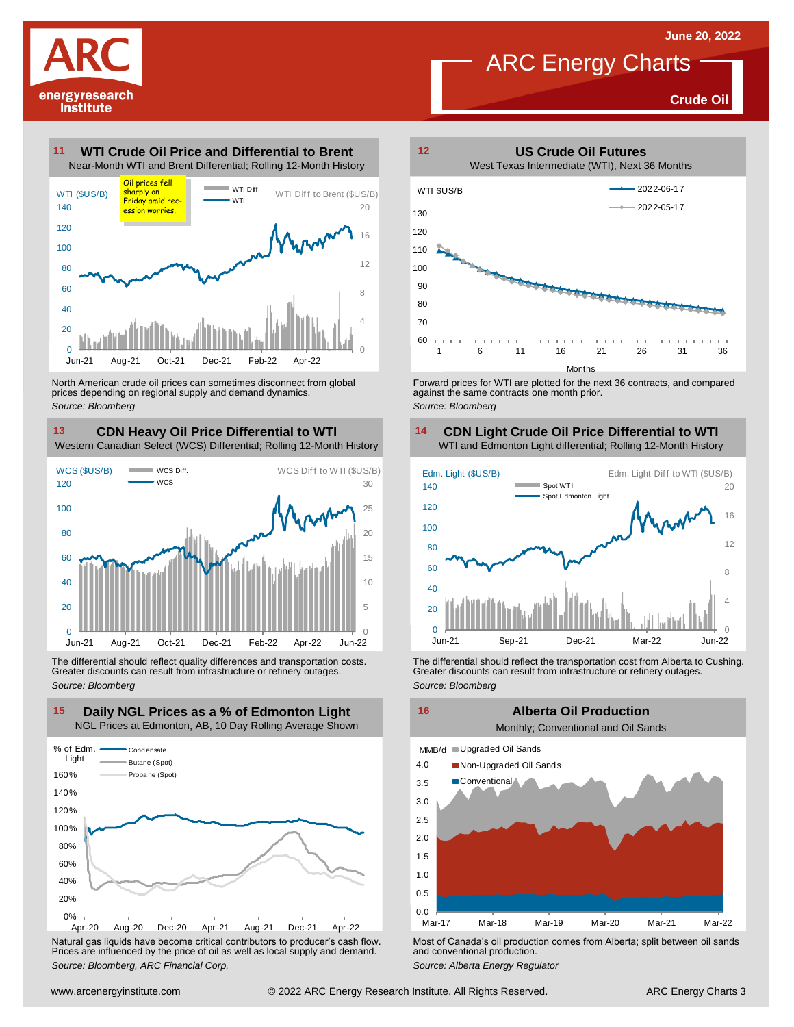

**Crude Oil**





North American crude oil prices can sometimes disconnect from global prices depending on regional supply and demand dynamics. *Source: Bloomberg*

#### **CDN Heavy Oil Price Differential to WTI 13 14**

Western Canadian Select (WCS) Differential; Rolling 12-Month History



The differential should reflect quality differences and transportation costs. Greater discounts can result from infrastructure or refinery outages. *Source: Bloomberg*



Natural gas liquids have become critical contributors to producer's cash flow. Most of Canada's oil production comes from Alberta; split between oil sands<br>Prices are influenced by the price of oil as well as local supply a



Forward prices for WTI are plotted for the next 36 contracts, and compared against the same contracts one month prior. *Source: Bloomberg*

### **CDN Light Crude Oil Price Differential to WTI**



The differential should reflect the transportation cost from Alberta to Cushing.<br>
Greater discounts can result from infrastructure or refinery outages.<br>
Source: *Bloomberg*<br> **Alberta Oil Production**<br>
Monthly; Conventional

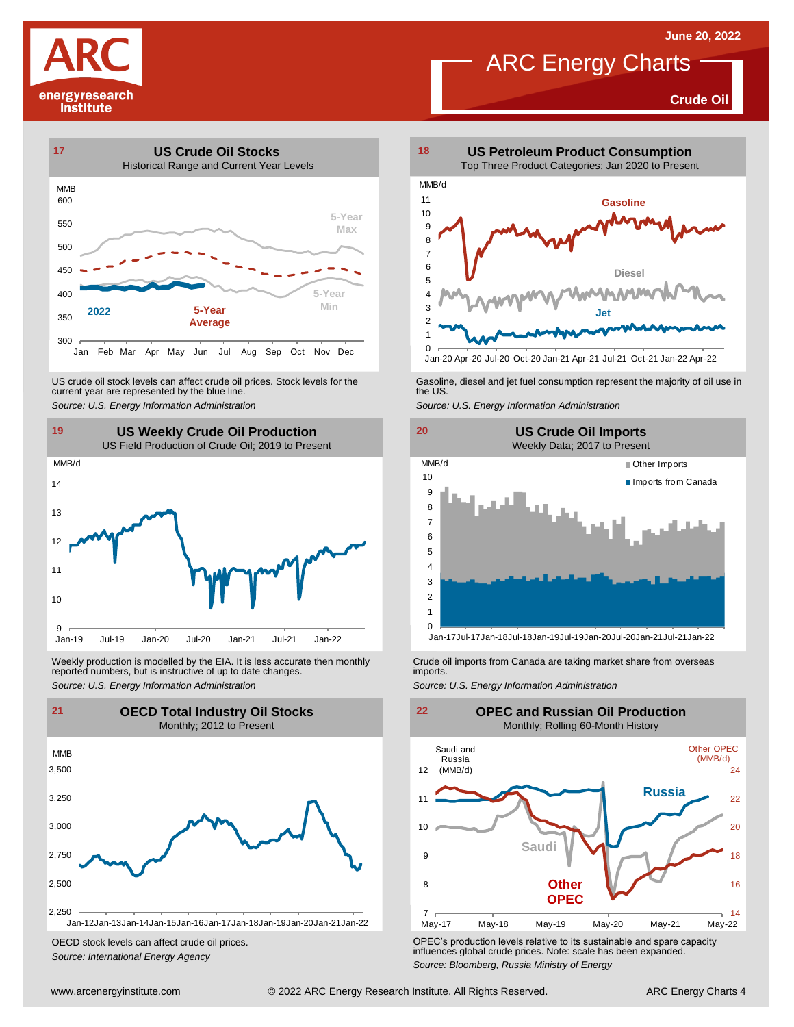**Crude Oil**





US crude oil stock levels can affect crude oil prices. Stock levels for the current year are represented by the blue line. US crude oil stock levels can affect crude oil prices. Stock levels for the Gasoline, diesel and jet fuel consumption represent the majority of oil use in<br>current year are represented by the blue line.<br>Source: U.S. Energy



Weekly production is modelled by the EIA. It is less accurate then monthly reported numbers, but is instructive of up to date changes. Weekly production is modelled by the EIA. It is less accurate then monthly Crude oil imports from Canada are taking market share from overseas<br>
reported numbers, but is instructive of up to date changes.<br>
Source: U.S. Ener



OECD stock levels can affect crude oil prices. *Source: International Energy Agency*



Jan-20 Apr-20 Jul-20 Oct-20 Jan-21 Apr-21 Jul-21 Oct-21 Jan-22 Apr-22





OPEC's production levels relative to its sustainable and spare capacity influences global crude prices. Note: scale has been expanded. *Source: Bloomberg, Russia Ministry of Energy*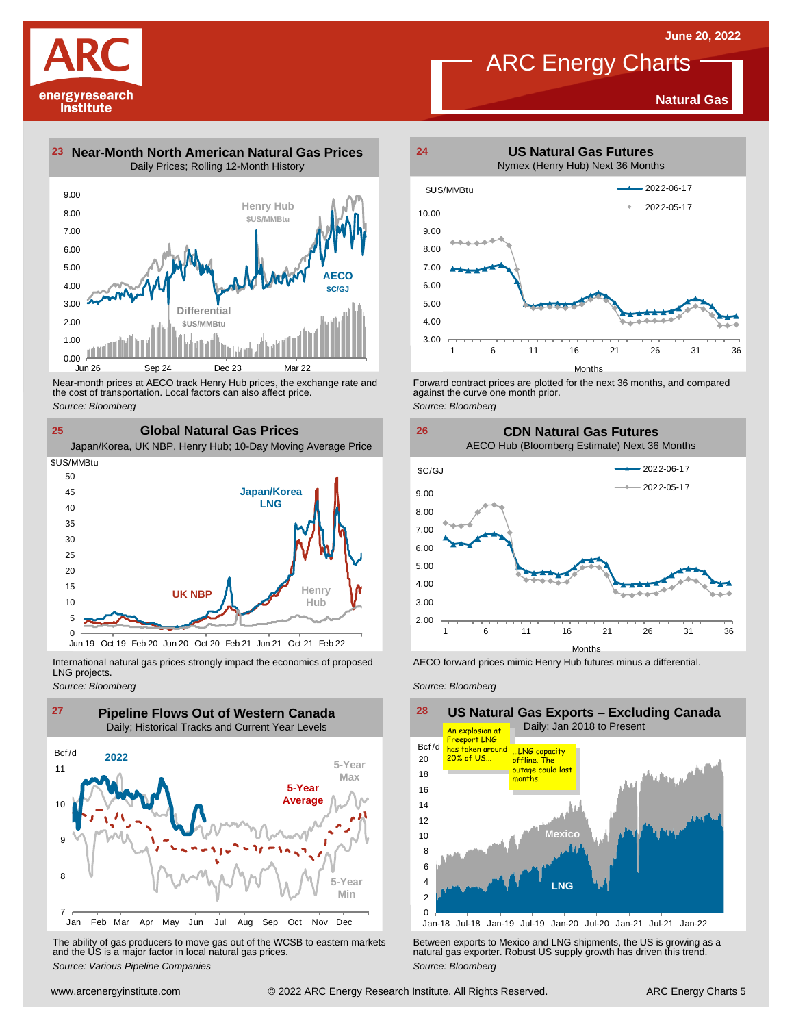**Natural Gas**

### ARC Energy Charts







Near-month prices at AECO track Henry Hub prices, the exchange rate and<br>the cost of transportation. Local factors can also affect price.<br>Source: Bloomberg<br>**CIObal Natural Gas Prices**<br>Japan/Korea, UK NBP, Henry Hub; 10-Day the cost of transportation. Local factors can also affect price. *Source: Bloomberg*

**25 Global Natural Gas Prices**



International natural gas prices strongly impact the economics of proposed LNG projects.

*Source: Bloomberg*



The ability of gas producers to move gas out of the WCSB to eastern markets Between exports to Mexico and LNG shipments, the US is growing as a<br>and the US is a major factor in local natural gas prices.<br>Source: Bloomberg Va



Forward contract prices are plotted for the next <sup>36</sup> months, and compared against the curve one month prior. *Source: Bloomberg*





AECO forward prices mimic Henry Hub futures minus a differential.

*Source: Bloomberg*

**US Natural Gas Exports – Excluding Canada** Daily; Jan 2018 to Present 0 2 4 6 8 10 12 14 16 18  $20$ Jan-18 Jul-18 Jan-19 Jul-19 Jan-20 Jul-20 Jan-21 Jul-21 Jan-22 28<br>Bcf/d **Mexico LNG** An explosion at Freeport LNG has taken around 20% of US... ...LNG capacity offline. The outage could la months.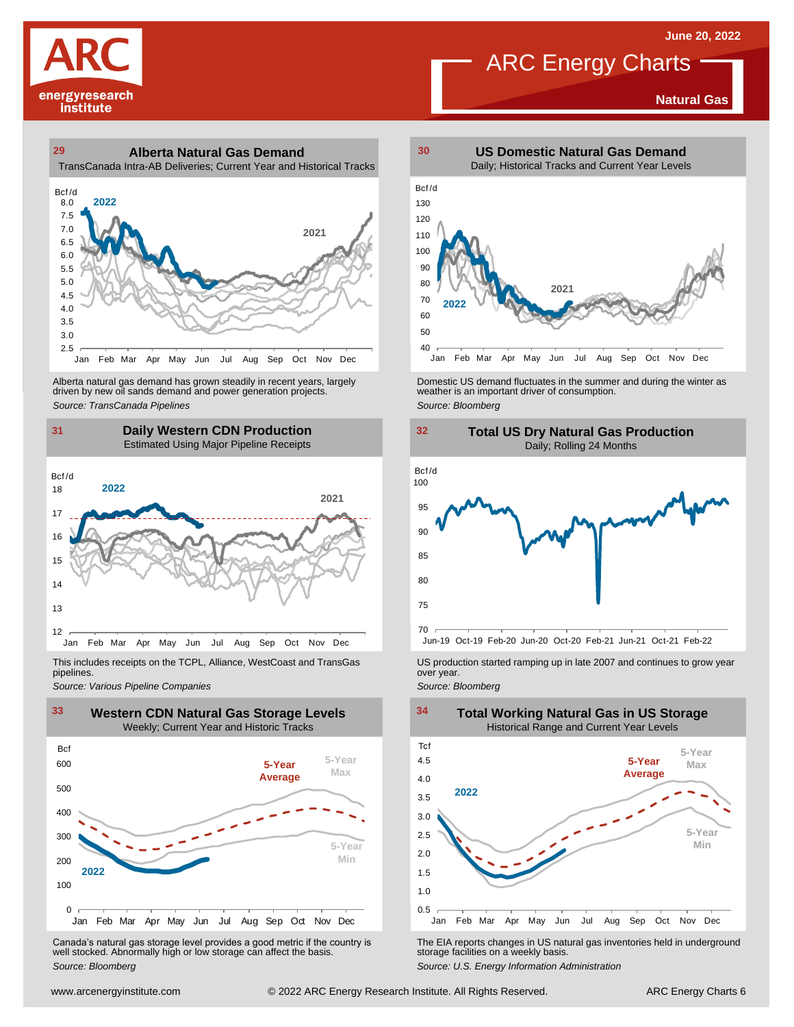**Natural Gas**

# ARC Energy Charts

# energyresearch institute

#### **29 30 Alberta Natural Gas Demand** TransCanada Intra-AB Deliveries; Current Year and Historical Tracks



Alberta natural gas demand has grown steadily in recent years, largely<br>
driven by new oil sands demand and power generation projects.<br>
Source: *Bloomberg*<br>
Source: *Bloomberg*<br>
Daily Western CDN Production<br>
Estimated Using Alberta natural gas demand has grown steadily in recent years, largely **Domestic US demand fluctuates in the summer** and during the winter as driven by new oil sands demand and power generation projects.<br>Ariven by new oil

#### **31 32 Daily Western CDN Production** Estimated Using Major Pipeline Receipts  $\frac{31}{\text{Bcf/d}}$



This includes receipts on the TCPL, Alliance, WestCoast and TransGas pipelines.



WE Canada's natural gas storage level provides a good metric if the country is<br>
Canada's natural gas storage level provides a good metric if the country is<br>
Well stocked. Abnormally high or low storage can affect the basi Canada's natural gas storage level provides <sup>a</sup> good metric if the country is well stocked. Abnormally high or low storage can affect the basis. *Source: Bloomberg*







*Source: Pipelines Pipelines Pipelines Pipelines Pipelines Companies Pipeline Pipelines Pipelines Pipelines Pipelines Companies Pipeline Companies Pipeline Companies Pipeline Companies Pip* 



The EIA reports changes in US natural gas inventories held in underground storage facilities on <sup>a</sup> weekly basis.

*Source: U.S. Energy Information Administration*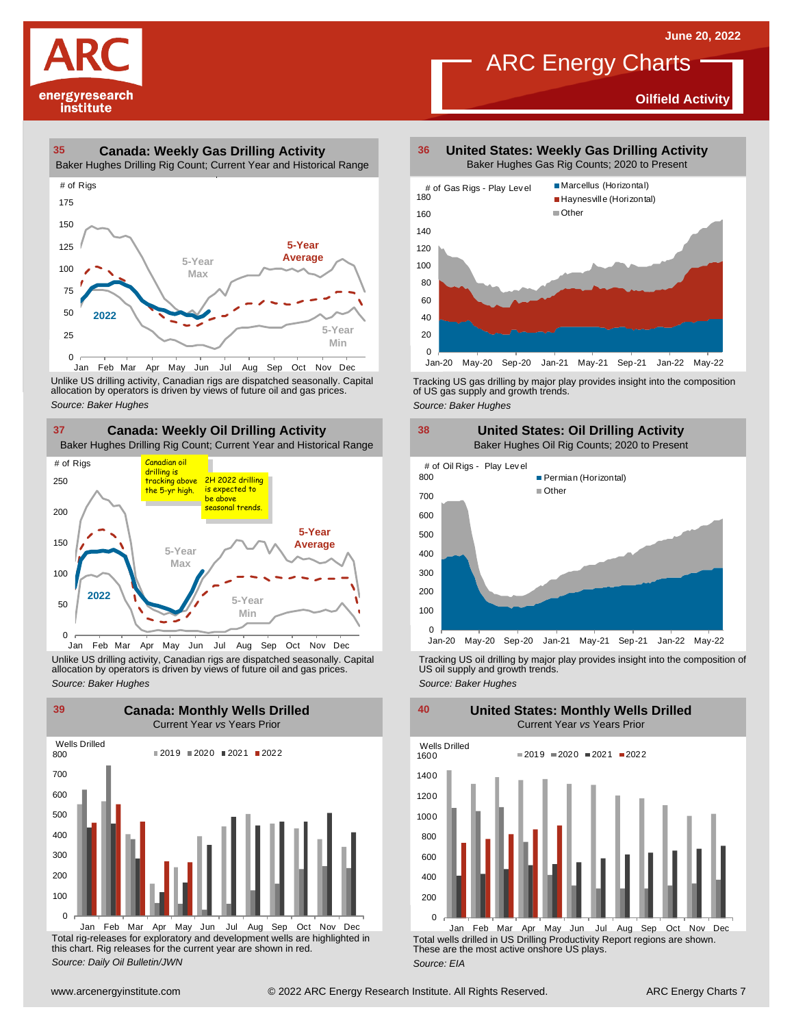**Oilfield Activity**



#### **35 36 Canada: Weekly Gas Drilling Activity**

Baker Hughes Drilling Rig Count; Current Year and Historical Range



Unlike US drilling activity, Canadian rigs are dispatched seasonally. Capital<br>allocation by operators is driven by views of future oil and gas prices. 0<br>Jan Feb Mar<br>Unlike US drilling activi<br>allocation by operators<br>Source: Baker Hughes



Unlike US drilling activity, Canadian rigs are dispatched seasonally. Capital Tracking US oil drilling by major play provides insight into the composition of<br>allocation by operators is driven by views of future oil and gas



Total rig-releases for exploratory and development wells are highlighted in this chart. Rig releases for the current year are shown in red. *Source: Daily Oil Bulletin/JWN* Jan Feb Mar Apr May Jun Jul Aug Sep Oct Nov Dec

**United States: Weekly Gas Drilling Activity** Baker Hughes Gas Rig Counts; 2020 to Present

ARC Energy Charts



Tracking US gas drilling by major play provides insight into the composition of US gas supply and growth trends.

*Source: Baker Hughes*



Tracking US oil drilling by major play provides insight into the composition of US oil supply and growth trends. *Source: Baker Hughes*

**United States: Monthly Wells Drilled**

 $\Omega$ 200 400 600 800 1000 1200 1400 1600 Wells Drilled  $2019 = 2020 = 2021 = 2022$ 

Total wells drilled in US Drilling Productivity Report regions are shown. These are the most active onshore US plays. *Source: EIA* Jan Feb Mar Apr May Jun Jul Aug Sep Oct Nov Dec